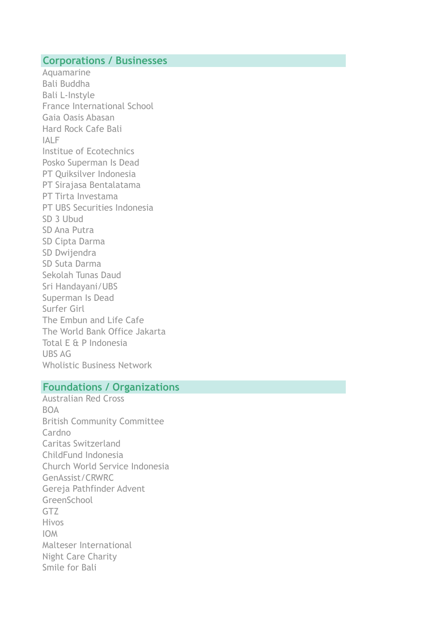### **Corporations / Businesses**

Aquamarine Bali Buddha Bali L-Instyle France International School Gaia Oasis Abasan Hard Rock Cafe Bali IALF Institue of Ecotechnics Posko Superman Is Dead PT Quiksilver Indonesia PT Sirajasa Bentalatama PT Tirta Investama PT UBS Securities Indonesia SD 3 Ubud SD Ana Putra SD Cipta Darma SD Dwijendra SD Suta Darma Sekolah Tunas Daud Sri Handayani/UBS Superman Is Dead Surfer Girl The Embun and Life Cafe The World Bank Office Jakarta Total E & P Indonesia UBS AG Wholistic Business Network

#### **Foundations / Organizations**

Australian Red Cross **BOA** British Community Committee Cardno Caritas Switzerland ChildFund Indonesia Church World Service Indonesia GenAssist/CRWRC Gereja Pathfinder Advent GreenSchool GTZ Hivos IOM Malteser International Night Care Charity Smile for Bali